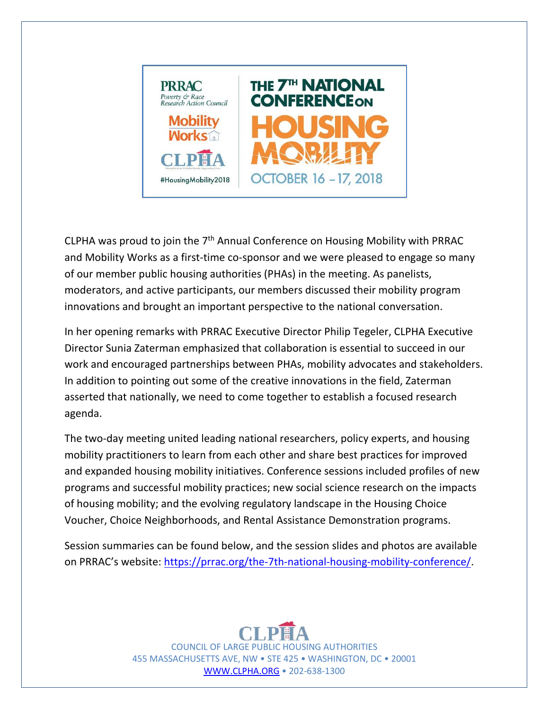

CLPHA was proud to join the  $7<sup>th</sup>$  Annual Conference on Housing Mobility with PRRAC and Mobility Works as a first-time co-sponsor and we were pleased to engage so many of our member public housing authorities (PHAs) in the meeting. As panelists, moderators, and active participants, our members discussed their mobility program innovations and brought an important perspective to the national conversation.

In her opening remarks with PRRAC Executive Director Philip Tegeler, CLPHA Executive Director Sunia Zaterman emphasized that collaboration is essential to succeed in our work and encouraged partnerships between PHAs, mobility advocates and stakeholders. In addition to pointing out some of the creative innovations in the field, Zaterman asserted that nationally, we need to come together to establish a focused research agenda.

The two-day meeting united leading national researchers, policy experts, and housing mobility practitioners to learn from each other and share best practices for improved and expanded housing mobility initiatives. Conference sessions included profiles of new programs and successful mobility practices; new social science research on the impacts of housing mobility; and the evolving regulatory landscape in the Housing Choice Voucher, Choice Neighborhoods, and Rental Assistance Demonstration programs.

Session summaries can be found below, and the session slides and photos are available on PRRAC's website: https://prrac.org/the-7th-national-housing-mobility-conference/.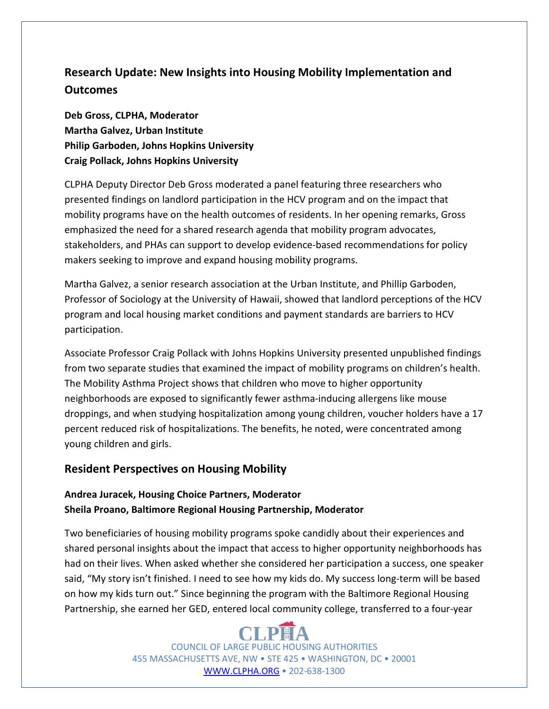# **Research Update: New Insights into Housing Mobility Implementation and Outcomes**

**Deb Gross, CLPHA, Moderator Martha Galvez, Urban Institute Philip Garboden, Johns Hopkins University Craig Pollack, Johns Hopkins University**

CLPHA Deputy Director Deb Gross moderated a panel featuring three researchers who presented findings on landlord participation in the HCV program and on the impact that mobility programs have on the health outcomes of residents. In her opening remarks, Gross emphasized the need for a shared research agenda that mobility program advocates, stakeholders, and PHAs can support to develop evidence-based recommendations for policy makers seeking to improve and expand housing mobility programs.

Martha Galvez, a senior research association at the Urban Institute, and Phillip Garboden, Professor of Sociology at the University of Hawaii, showed that landlord perceptions of the HCV program and local housing market conditions and payment standards are barriers to HCV participation.

Associate Professor Craig Pollack with Johns Hopkins University presented unpublished findings from two separate studies that examined the impact of mobility programs on children's health. The Mobility Asthma Project shows that children who move to higher opportunity neighborhoods are exposed to significantly fewer asthma-inducing allergens like mouse droppings, and when studying hospitalization among young children, voucher holders have a 17 percent reduced risk of hospitalizations. The benefits, he noted, were concentrated among young children and girls.

## **Resident Perspectives on Housing Mobility**

#### **Andrea Juracek, Housing Choice Partners, Moderator Sheila Proano, Baltimore Regional Housing Partnership, Moderator**

Two beneficiaries of housing mobility programs spoke candidly about their experiences and shared personal insights about the impact that access to higher opportunity neighborhoods has had on their lives. When asked whether she considered her participation a success, one speaker said, "My story isn't finished. I need to see how my kids do. My success long-term will be based on how my kids turn out." Since beginning the program with the Baltimore Regional Housing Partnership, she earned her GED, entered local community college, transferred to a four-year

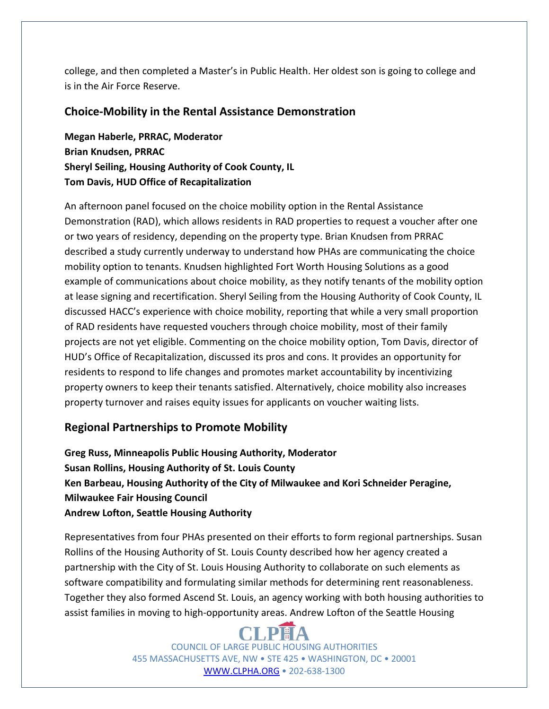college, and then completed a Master's in Public Health. Her oldest son is going to college and is in the Air Force Reserve.

#### **Choice-Mobility in the Rental Assistance Demonstration**

**Megan Haberle, PRRAC, Moderator Brian Knudsen, PRRAC Sheryl Seiling, Housing Authority of Cook County, IL Tom Davis, HUD Office of Recapitalization**

An afternoon panel focused on the choice mobility option in the Rental Assistance Demonstration (RAD), which allows residents in RAD properties to request a voucher after one or two years of residency, depending on the property type. Brian Knudsen from PRRAC described a study currently underway to understand how PHAs are communicating the choice mobility option to tenants. Knudsen highlighted Fort Worth Housing Solutions as a good example of communications about choice mobility, as they notify tenants of the mobility option at lease signing and recertification. Sheryl Seiling from the Housing Authority of Cook County, IL discussed HACC's experience with choice mobility, reporting that while a very small proportion of RAD residents have requested vouchers through choice mobility, most of their family projects are not yet eligible. Commenting on the choice mobility option, Tom Davis, director of HUD's Office of Recapitalization, discussed its pros and cons. It provides an opportunity for residents to respond to life changes and promotes market accountability by incentivizing property owners to keep their tenants satisfied. Alternatively, choice mobility also increases property turnover and raises equity issues for applicants on voucher waiting lists.

## **Regional Partnerships to Promote Mobility**

**Greg Russ, Minneapolis Public Housing Authority, Moderator Susan Rollins, Housing Authority of St. Louis County Ken Barbeau, Housing Authority of the City of Milwaukee and Kori Schneider Peragine, Milwaukee Fair Housing Council Andrew Lofton, Seattle Housing Authority** 

Representatives from four PHAs presented on their efforts to form regional partnerships. Susan Rollins of the Housing Authority of St. Louis County described how her agency created a partnership with the City of St. Louis Housing Authority to collaborate on such elements as software compatibility and formulating similar methods for determining rent reasonableness. Together they also formed Ascend St. Louis, an agency working with both housing authorities to assist families in moving to high-opportunity areas. Andrew Lofton of the Seattle Housing

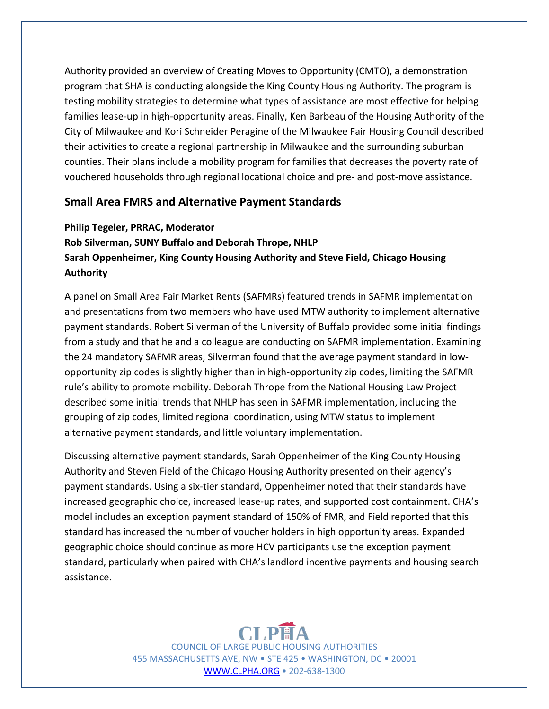Authority provided an overview of Creating Moves to Opportunity (CMTO), a demonstration program that SHA is conducting alongside the King County Housing Authority. The program is testing mobility strategies to determine what types of assistance are most effective for helping families lease-up in high-opportunity areas. Finally, Ken Barbeau of the Housing Authority of the City of Milwaukee and Kori Schneider Peragine of the Milwaukee Fair Housing Council described their activities to create a regional partnership in Milwaukee and the surrounding suburban counties. Their plans include a mobility program for families that decreases the poverty rate of vouchered households through regional locational choice and pre- and post-move assistance.

#### **Small Area FMRS and Alternative Payment Standards**

#### **Philip Tegeler, PRRAC, Moderator**

## **Rob Silverman, SUNY Buffalo and Deborah Thrope, NHLP Sarah Oppenheimer, King County Housing Authority and Steve Field, Chicago Housing Authority**

A panel on Small Area Fair Market Rents (SAFMRs) featured trends in SAFMR implementation and presentations from two members who have used MTW authority to implement alternative payment standards. Robert Silverman of the University of Buffalo provided some initial findings from a study and that he and a colleague are conducting on SAFMR implementation. Examining the 24 mandatory SAFMR areas, Silverman found that the average payment standard in lowopportunity zip codes is slightly higher than in high-opportunity zip codes, limiting the SAFMR rule's ability to promote mobility. Deborah Thrope from the National Housing Law Project described some initial trends that NHLP has seen in SAFMR implementation, including the grouping of zip codes, limited regional coordination, using MTW status to implement alternative payment standards, and little voluntary implementation.

Discussing alternative payment standards, Sarah Oppenheimer of the King County Housing Authority and Steven Field of the Chicago Housing Authority presented on their agency's payment standards. Using a six-tier standard, Oppenheimer noted that their standards have increased geographic choice, increased lease-up rates, and supported cost containment. CHA's model includes an exception payment standard of 150% of FMR, and Field reported that this standard has increased the number of voucher holders in high opportunity areas. Expanded geographic choice should continue as more HCV participants use the exception payment standard, particularly when paired with CHA's landlord incentive payments and housing search assistance.